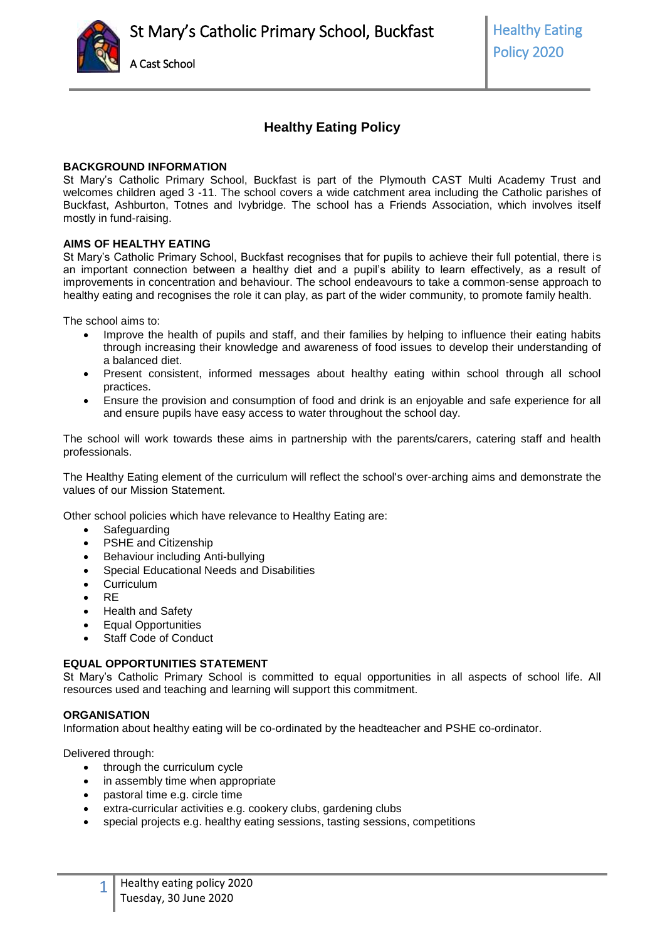

# **Healthy Eating Policy**

# **BACKGROUND INFORMATION**

St Mary's Catholic Primary School, Buckfast is part of the Plymouth CAST Multi Academy Trust and welcomes children aged 3 -11. The school covers a wide catchment area including the Catholic parishes of Buckfast, Ashburton, Totnes and Ivybridge. The school has a Friends Association, which involves itself mostly in fund-raising.

## **AIMS OF HEALTHY EATING**

St Mary's Catholic Primary School, Buckfast recognises that for pupils to achieve their full potential, there is an important connection between a healthy diet and a pupil's ability to learn effectively, as a result of improvements in concentration and behaviour. The school endeavours to take a common-sense approach to healthy eating and recognises the role it can play, as part of the wider community, to promote family health.

The school aims to:

- Improve the health of pupils and staff, and their families by helping to influence their eating habits through increasing their knowledge and awareness of food issues to develop their understanding of a balanced diet.
- Present consistent, informed messages about healthy eating within school through all school practices.
- Ensure the provision and consumption of food and drink is an enjoyable and safe experience for all and ensure pupils have easy access to water throughout the school day.

The school will work towards these aims in partnership with the parents/carers, catering staff and health professionals.

The Healthy Eating element of the curriculum will reflect the school's over-arching aims and demonstrate the values of our Mission Statement.

Other school policies which have relevance to Healthy Eating are:

- Safeguarding
- PSHE and Citizenship
- Behaviour including Anti-bullying
- Special Educational Needs and Disabilities
- **Curriculum**
- $\bullet$  RF
- Health and Safety
- Equal Opportunities
- Staff Code of Conduct

# **EQUAL OPPORTUNITIES STATEMENT**

St Mary's Catholic Primary School is committed to equal opportunities in all aspects of school life. All resources used and teaching and learning will support this commitment.

## **ORGANISATION**

Information about healthy eating will be co-ordinated by the headteacher and PSHE co-ordinator.

Delivered through:

1

- through the curriculum cycle
- in assembly time when appropriate
- pastoral time e.g. circle time
- extra-curricular activities e.g. cookery clubs, gardening clubs
- special projects e.g. healthy eating sessions, tasting sessions, competitions